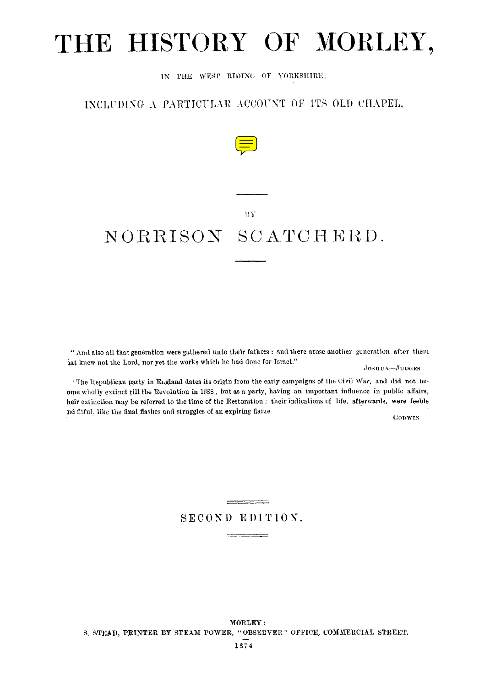# THE HISTORY OF MORLEY,

IN THE WEST RIDING OF YORKSHIRE,

### INCLUUDING A PARTICULAR ACCOUNT OP ITS OLD CHAPEL,



#### $-13Y$

## NORRISON SCATCHERD.

" And also all that generation were gathered unto their fathers : and there arose another generation after them at kncw not the Lord, nor yet the works which he had done for Israel."

#### JOSHUA-JUDOES

The Republican party in England dates its origin from the early campaigns of the Civil War, and did not beame wholly extinct till the Revolution in 1658, but as a party, having an important influence in public affairs, heir extinction may be referred to the time of the Restoratiou ; their indications of life, afterwards, were feeble ad fitful, like the final flashes and struggles of an expiring flame

GODWIN

### $\qquad \qquad \overbrace{\qquad \qquad }$ SECOND EDITION.  $\label{eq:reduced} \begin{split} \mathcal{L}_{\text{c}}(x) = \mathcal{L}_{\text{c}}(x) = \mathcal{L}_{\text{c}}(x) = \mathcal{L}_{\text{c}}(x) = \mathcal{L}_{\text{c}}(x) \end{split}$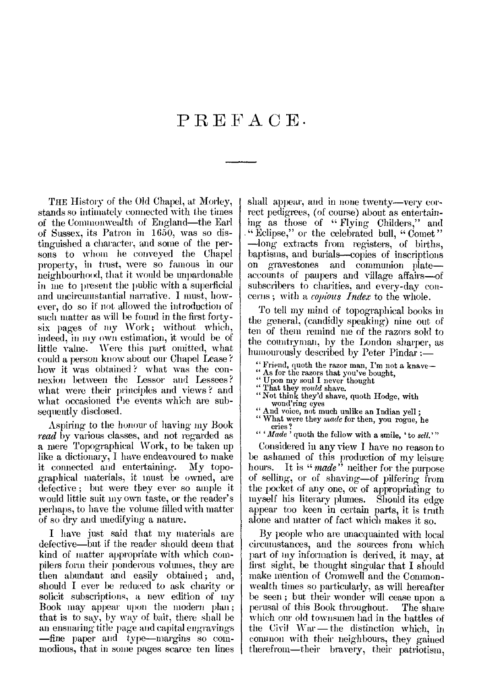### PREFACE.

THE History of the Old Chapel, at Morley, stands so intimately connected with the times of the Commonwealth of England—the Earl of Sussex, its Patron in 1650, was so distinguished a character, and some of the persons to whom he conveyed the Chapel property, in trust, were so famous in our neighbourhood, that it would be unpardonable in me to present the public with a superficial and uncircumstantial narrative. I must, however, do so if not allowed the introduction of such matter as will be found in the first fortysix pages of my Work; without which, indeed, in nry own estimation, it would be of little value. Were this part omitted, what could a person know about our Chapel Lease ? how it was obtained? what was the connexion between the Lessor and Lessees ? what were their principles and views ? and what occasioned the events which are subsequently disclosed.

Aspiring to the honour of having my Book *read* by various classes, and not regarded as a mere Topographical Work, to be taken up like a dictionary, I have endeavoured to make<br>it connected and entertaining. My topoit connected and entertaining. graphical materials, it must be owned, are defective ; but were they ever so ample it would little suit my own taste, or the reader's perhaps, to have the volume filled with matter of so dry and unedifying a nature.

I have just said that my materials are defective—but if the reader should deem that kind of matter appropriate with which compilers form their ponderous volumes, they are then abundant and easily obtained; and, should I ever be reduced to ask charity or solicit subscriptions, a new edition of my Book may appear upon the modern plan ; that is to say, by way of bait, there shall be an ensnaring title page and capital engravings —fine paper and type—margins so commodious, that in some pages scarce ten lines shall appear, and in none twenty—very correct pedigrees, (of course) about as entertaining as those of " *Flying* Childers," and " Eclipse," or the celebrated bull, "Comet" —long extracts from registers, of births, baptisms, and burials—copies of inscriptions on gravestones and communion plate accounts of paupers and village affairs—of subscribers to charities, and every-day concerns ; with a *copious Index* to the whole.

To tell my mind of topographical books in the general, (candidly speaking) nine out of ten of them remind me of the razors sold to the countryman, by the London sharper, as humourously described by Peter Pindar :-

- " Friend, quoth the razor man, I'm not a knave-
- " As for the razors that you've bought, " Upon my soul I never thought
- 
- " That they *would* shave. "Not think they'd shave, quoth Hodge, with
- wond'ring eyes
- " And voice, not much unlike an Indian yell ;
- " What were they *wade* for then, you rogue, he cries ?
- " *'Made '* quoth the fellow with a smile, ' to *sell.'"*

Considered in any view I have no reason to be ashamed of this production of my leisure hours. It is "*made*" neither for the purpose of selling, or of shaving—of pilfering from the pocket of any one, or of appropriating to myself his literary plumes. Should its edge appear too keen in certain parts, it is truth alone and matter of fact which makes it so.

By people who are unacquainted with local circumstances, and the sources from which part of my information is derived, it may, at first sight, be thought singular that I should make mention of Cromwell and the Commonwealth times so particularly, as will hereafter be seen; but their wonder will cease upon a<br>perusal of this Book throughout. The share perusal of this Book throughout. which our old townsmen had in the battles of the Civil War — the distinction which, in common with their neighbours, they gained therefrom—their bravery, their patriotism,